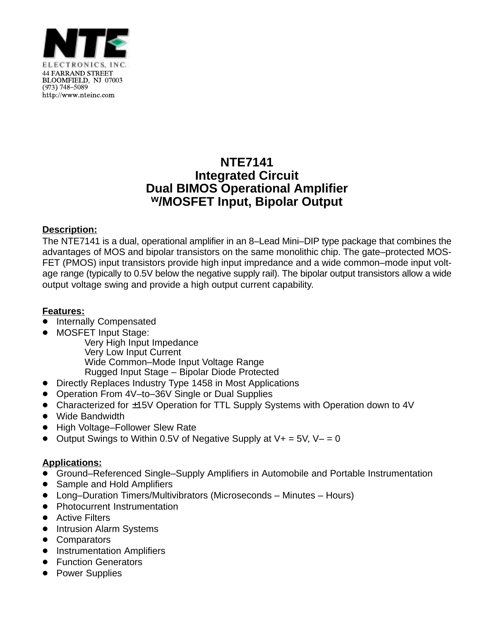

### **NTE7141 Integrated Circuit Dual BIMOS Operational Amplifier w/MOSFET Input, Bipolar Output**

#### **Description:**

The NTE7141 is a dual, operational amplifier in an 8–Lead Mini–DIP type package that combines the advantages of MOS and bipolar transistors on the same monolithic chip. The gate–protected MOS-FET (PMOS) input transistors provide high input impredance and a wide common–mode input voltage range (typically to 0.5V below the negative supply rail). The bipolar output transistors allow a wide output voltage swing and provide a high output current capability.

#### **Features:**

- -<br>• Internally Compensated
- $\bullet$ MOSFET Input Stage:

Very High Input Impedance Very Low Input Current Wide Common–Mode Input Voltage Range Rugged Input Stage – Bipolar Diode Protected

- Directly Replaces Industry Type 1458 in Most Applications
- Operation From 4V–to–36V Single or Dual Supplies
- Characterized for ±15V Operation for TTL Supply Systems with Operation down to 4V
- Wide Bandwidth
- High Voltage–Follower Slew Rate
- $\bullet$  Output Swings to Within 0.5V of Negative Supply at V+ = 5V, V- = 0

#### **Applications:**

- <u>- pensations.</u><br>● Ground–Referenced Single–Supply Amplifiers in Automobile and Portable Instrumentation
- $\bullet$ Sample and Hold Amplifiers
- Long–Duration Timers/Multivibrators (Microseconds Minutes Hours)
- Photocurrent Instrumentation
- Active Filters
- Intrusion Alarm Systems
- Comparators
- Instrumentation Amplifiers
- Function Generators
- Power Supplies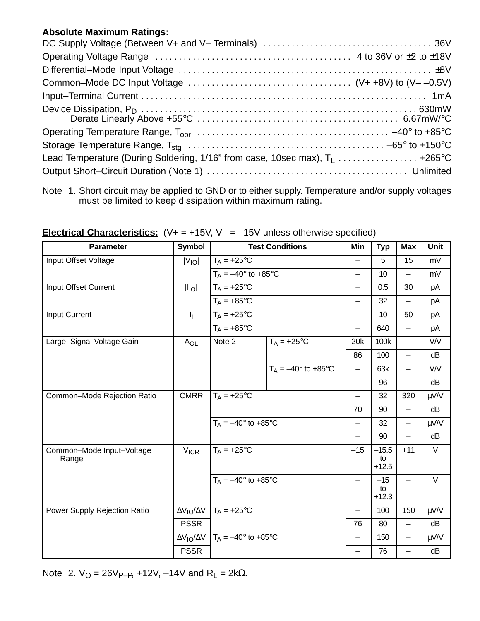#### **Absolute Maximum Ratings:**

| Common-Mode DC Input Voltage $\ldots \ldots \ldots \ldots \ldots \ldots \ldots \ldots \ldots \ldots$ (V++8V) to (V--0.5V) |  |
|---------------------------------------------------------------------------------------------------------------------------|--|
|                                                                                                                           |  |
|                                                                                                                           |  |
|                                                                                                                           |  |
|                                                                                                                           |  |
| Lead Temperature (During Soldering, 1/16" from case, 10sec max), $T_1$ +265°C                                             |  |
|                                                                                                                           |  |

| <b>Parameter</b>                   | <b>Symbol</b>                   |                                        | <b>Test Conditions</b>       | Min               | <b>Typ</b>               | <b>Max</b>               | <b>Unit</b> |
|------------------------------------|---------------------------------|----------------------------------------|------------------------------|-------------------|--------------------------|--------------------------|-------------|
| Input Offset Voltage               | $ V_{IO} $                      | $T_A = +25$ °C                         |                              |                   | 5                        | 15                       | mV          |
|                                    |                                 | $T_A = -40^\circ$ to +85 $\circ$ C     |                              | $\qquad \qquad -$ | 10                       | $\overline{\phantom{0}}$ | mV          |
| Input Offset Current               | $\vert I_{\vert O}\vert$        | $T_A = +25$ °C                         |                              | —                 | 0.5                      | 30                       | pA          |
|                                    |                                 | $T_A = +85$ °C                         |                              | —                 | 32                       | $\qquad \qquad -$        | pA          |
| <b>Input Current</b>               | h.                              | $T_A = +25$ °C                         |                              | $\qquad \qquad -$ | 10                       | 50                       | pA          |
|                                    |                                 | $T_A = +85$ °C                         |                              | $\qquad \qquad -$ | 640                      | $\overline{\phantom{m}}$ | pA          |
| Large-Signal Voltage Gain          | $A_{OL}$                        | Note 2                                 | $T_A = +25$ °C               | 20k               | 100k                     | $\overline{\phantom{0}}$ | V/V         |
|                                    |                                 |                                        |                              | 86                | 100                      | —                        | dB          |
|                                    |                                 |                                        | $T_A = -40^{\circ}$ to +85°C |                   | 63k                      | —                        | <b>V/V</b>  |
|                                    |                                 |                                        |                              | $\qquad \qquad -$ | 96                       | $\qquad \qquad -$        | dB          |
| Common-Mode Rejection Ratio        | <b>CMRR</b>                     | $T_A = +25$ °C                         |                              | $\qquad \qquad -$ | 32                       | 320                      | μV/V        |
|                                    |                                 |                                        |                              | 70                | 90                       | $\overline{\phantom{0}}$ | dB          |
|                                    |                                 | $T_A = -40^{\circ}$ to $+85^{\circ}$ C |                              |                   | 32                       | $\qquad \qquad -$        | μV/V        |
|                                    |                                 |                                        |                              |                   | 90                       |                          | dB          |
| Common-Mode Input-Voltage<br>Range | $V_{ICR}$                       | $T_A = +25$ °C                         |                              | $-15$             | $-15.5$<br>to<br>$+12.5$ | $+11$                    | $\vee$      |
|                                    |                                 | $T_A = -40^{\circ}$ to +85°C           |                              | -                 | $-15$<br>to<br>$+12.3$   | $\qquad \qquad -$        | $\vee$      |
| Power Supply Rejection Ratio       | $\Delta V_{IO}/\Delta V$        | $T_A = +25$ °C                         |                              | $\qquad \qquad -$ | 100                      | 150                      | μV/V        |
|                                    | <b>PSSR</b>                     |                                        |                              | 76                | 80                       | $\qquad \qquad -$        | dB          |
|                                    | $\Delta V_{\text{IO}}/\Delta V$ | $T_A = -40^{\circ}$ to +85°C           |                              | $\qquad \qquad -$ | 150                      | $\qquad \qquad -$        | μV/V        |
|                                    | <b>PSSR</b>                     |                                        |                              |                   | 76                       |                          | dB          |

**Electrical Characteristics:** (V+ = +15V, V– = –15V unless otherwise specified)

Note 2.  $V_Q = 26V_{P-P}$ , +12V, -14V and R<sub>L</sub> = 2kΩ.

Note 1. Short circuit may be applied to GND or to either supply. Temperature and/or supply voltages must be limited to keep dissipation within maximum rating.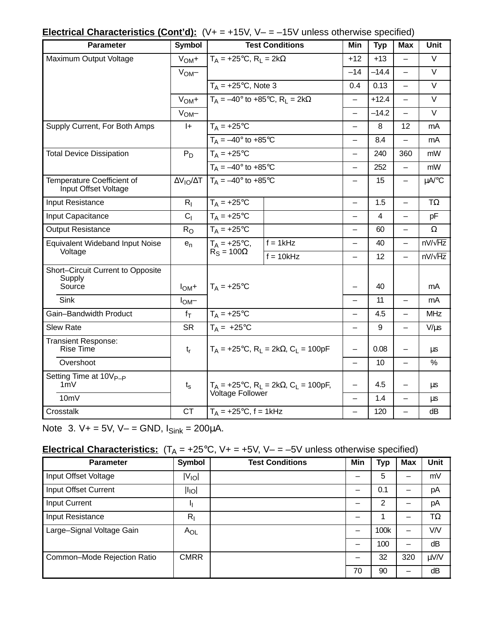| <b>Electrical Characteristics (Cont'd):</b> $(V+ = +15V, V- = -15V$ unless otherwise specified) |  |  |  |
|-------------------------------------------------------------------------------------------------|--|--|--|
|                                                                                                 |  |  |  |

| Parameter                                             | <b>Symbol</b>                   |                                                                                           | <b>Test Conditions</b> | Min                      | <b>Typ</b>     | Max                      | Unit           |
|-------------------------------------------------------|---------------------------------|-------------------------------------------------------------------------------------------|------------------------|--------------------------|----------------|--------------------------|----------------|
| Maximum Output Voltage                                | $VOM +$                         | $T_A = +25$ °C, R <sub>L</sub> = 2k $\Omega$                                              |                        | $+12$                    | $+13$          | $\overline{\phantom{0}}$ | V              |
|                                                       | V <sub>OM</sub>                 |                                                                                           |                        | $-14$                    | $-14.4$        |                          | $\vee$         |
|                                                       |                                 | $T_A = +25$ °C, Note 3                                                                    |                        | 0.4                      | 0.13           | $\overline{\phantom{0}}$ | $\vee$         |
|                                                       | $VOM +$                         | $T_A = -40^\circ$ to +85°C, R <sub>1</sub> = 2k $\Omega$                                  |                        | $\qquad \qquad -$        | $+12.4$        | $\overline{\phantom{m}}$ | $\vee$         |
|                                                       | V <sub>OM</sub>                 |                                                                                           |                        | $\overline{\phantom{0}}$ | $-14.2$        |                          | $\vee$         |
| Supply Current, For Both Amps                         | $ +$                            | $T_A = +25$ °C                                                                            |                        | $\overline{\phantom{0}}$ | 8              | 12                       | mA             |
|                                                       |                                 | $T_A = -40^\circ$ to +85 $\circ$ C                                                        |                        | $\overline{\phantom{0}}$ | 8.4            |                          | mA             |
| <b>Total Device Dissipation</b>                       | $P_D$                           | $T_A = +25$ °C                                                                            |                        | $\overline{\phantom{0}}$ | 240            | 360                      | mW             |
|                                                       |                                 | $T_A = -40^{\circ}$ to +85°C                                                              |                        | $\overline{\phantom{0}}$ | 252            | $\overline{\phantom{0}}$ | mW             |
| Temperature Coefficient of<br>Input Offset Voltage    | $\Delta V_{\text{IO}}/\Delta T$ | $T_A = -40^{\circ}$ to +85°C                                                              |                        |                          | 15             | $\overline{\phantom{0}}$ | µA/°C          |
| Input Resistance                                      | R <sub>1</sub>                  | $T_A = +25$ °C                                                                            |                        | $\overline{\phantom{0}}$ | 1.5            | $\overline{\phantom{0}}$ | $T\Omega$      |
| Input Capacitance                                     | C <sub>1</sub>                  | $T_A = +25$ °C                                                                            |                        | $\overline{\phantom{0}}$ | $\overline{4}$ | $\overline{\phantom{0}}$ | pF             |
| <b>Output Resistance</b>                              | $R_{\Omega}$                    | $T_A = +25$ °C                                                                            |                        |                          | 60             | $\overline{\phantom{0}}$ | Ω              |
| <b>Equivalent Wideband Input Noise</b>                | $e_n$                           | $T_A = +25$ °C,                                                                           | $f = 1kHz$             | $\overline{\phantom{0}}$ | 40             | $\overline{\phantom{0}}$ | $nV/\sqrt{Hz}$ |
| Voltage                                               |                                 | $\text{R}_{\text{S}} = 100\Omega$                                                         | $f = 10kHz$            |                          | 12             | $\overline{\phantom{0}}$ | $nV/\sqrt{Hz}$ |
| Short-Circuit Current to Opposite<br>Supply<br>Source | $IOM$ +                         | $T_A = +25$ °C                                                                            |                        |                          | 40             |                          | mA             |
| Sink                                                  | $I_{OM}$ -                      |                                                                                           |                        | $\overline{\phantom{0}}$ | 11             | $\qquad \qquad -$        | mA             |
| Gain-Bandwidth Product                                | $f_T$                           | $T_A = +25$ °C                                                                            |                        | —                        | 4.5            | $\overline{\phantom{0}}$ | <b>MHz</b>     |
| <b>Slew Rate</b>                                      | <b>SR</b>                       | $T_A = +25$ °C                                                                            |                        | $\overline{\phantom{0}}$ | 9              | $\overline{\phantom{0}}$ | $V/\mu s$      |
| <b>Transient Response:</b><br><b>Rise Time</b>        | $t_{r}$                         | $T_A$ = +25°C, R <sub>L</sub> = 2kΩ, C <sub>L</sub> = 100pF                               |                        |                          | 0.08           |                          | μs             |
| Overshoot                                             |                                 |                                                                                           |                        | $\overline{\phantom{0}}$ | 10             | $\overline{\phantom{0}}$ | $\%$           |
| Setting Time at 10V <sub>P-P</sub><br>1mV             | $t_{\rm s}$                     | $T_A$ = +25°C, R <sub>L</sub> = 2k $\Omega$ , C <sub>L</sub> = 100pF,<br>Voltage Follower |                        |                          | 4.5            |                          | μs             |
| 10mV                                                  |                                 |                                                                                           |                        | $\overline{\phantom{0}}$ | 1.4            | $\overline{\phantom{0}}$ | μs             |
| Crosstalk                                             | <b>CT</b>                       | $T_A$ = +25°C, f = 1kHz                                                                   |                        |                          | 120            | $\overline{\phantom{0}}$ | dB             |

Note 3.  $V+ = 5V$ ,  $V- = GND$ ,  $I_{Sink} = 200 \mu A$ .

# **Electrical Characteristics:**  $(T_A = +25^{\circ}C, V_{+} = +5V, V_{-} = -5V$  unless otherwise specified)

| <b>Parameter</b>            | <b>Symbol</b>     | <b>Test Conditions</b> | Min | <b>Typ</b> | <b>Max</b> | <b>Unit</b> |
|-----------------------------|-------------------|------------------------|-----|------------|------------|-------------|
| Input Offset Voltage        | $ V_{\text{IO}} $ |                        |     | 5          |            | mV          |
| Input Offset Current        | $ I_{\text{IO}} $ |                        |     | 0.1        |            | pA          |
| <b>Input Current</b>        |                   |                        |     | 2          |            | pA          |
| Input Resistance            | $R_{I}$           |                        |     |            |            | TΩ          |
| Large-Signal Voltage Gain   | $A_{OL}$          |                        |     | 100k       |            | <b>V/V</b>  |
|                             |                   |                        |     | 100        |            | dB          |
| Common-Mode Rejection Ratio | <b>CMRR</b>       |                        |     | 32         | 320        | μV/V        |
|                             |                   |                        | 70  | 90         |            | dB          |